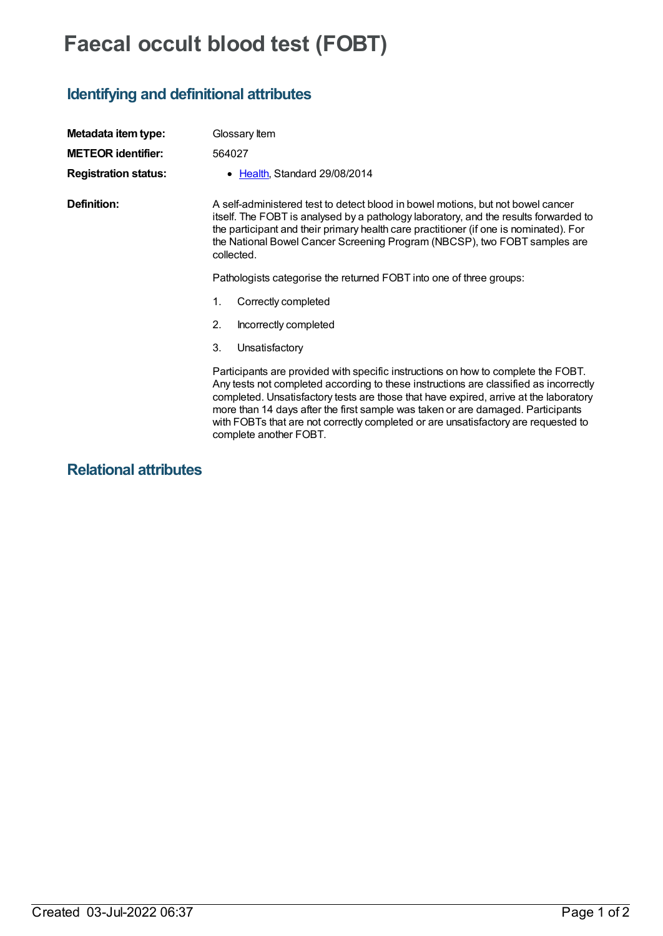## **Faecal occult blood test (FOBT)**

## **Identifying and definitional attributes**

| Metadata item type:         | Glossary Item                                                                                                                                                                                                                                                                                                                                                                                                                                                          |
|-----------------------------|------------------------------------------------------------------------------------------------------------------------------------------------------------------------------------------------------------------------------------------------------------------------------------------------------------------------------------------------------------------------------------------------------------------------------------------------------------------------|
| <b>METEOR identifier:</b>   | 564027                                                                                                                                                                                                                                                                                                                                                                                                                                                                 |
| <b>Registration status:</b> | • Health, Standard 29/08/2014                                                                                                                                                                                                                                                                                                                                                                                                                                          |
| Definition:                 | A self-administered test to detect blood in bowel motions, but not bowel cancer<br>itself. The FOBT is analysed by a pathology laboratory, and the results forwarded to<br>the participant and their primary health care practitioner (if one is nominated). For<br>the National Bowel Cancer Screening Program (NBCSP), two FOBT samples are<br>collected.                                                                                                            |
|                             | Pathologists categorise the returned FOBT into one of three groups:                                                                                                                                                                                                                                                                                                                                                                                                    |
|                             | Correctly completed<br>1.                                                                                                                                                                                                                                                                                                                                                                                                                                              |
|                             | 2.<br>Incorrectly completed                                                                                                                                                                                                                                                                                                                                                                                                                                            |
|                             | 3.<br>Unsatisfactory                                                                                                                                                                                                                                                                                                                                                                                                                                                   |
|                             | Participants are provided with specific instructions on how to complete the FOBT.<br>Any tests not completed according to these instructions are classified as incorrectly<br>completed. Unsatisfactory tests are those that have expired, arrive at the laboratory<br>more than 14 days after the first sample was taken or are damaged. Participants<br>with FOBTs that are not correctly completed or are unsatisfactory are requested to<br>complete another FOBT. |

**Relational attributes**